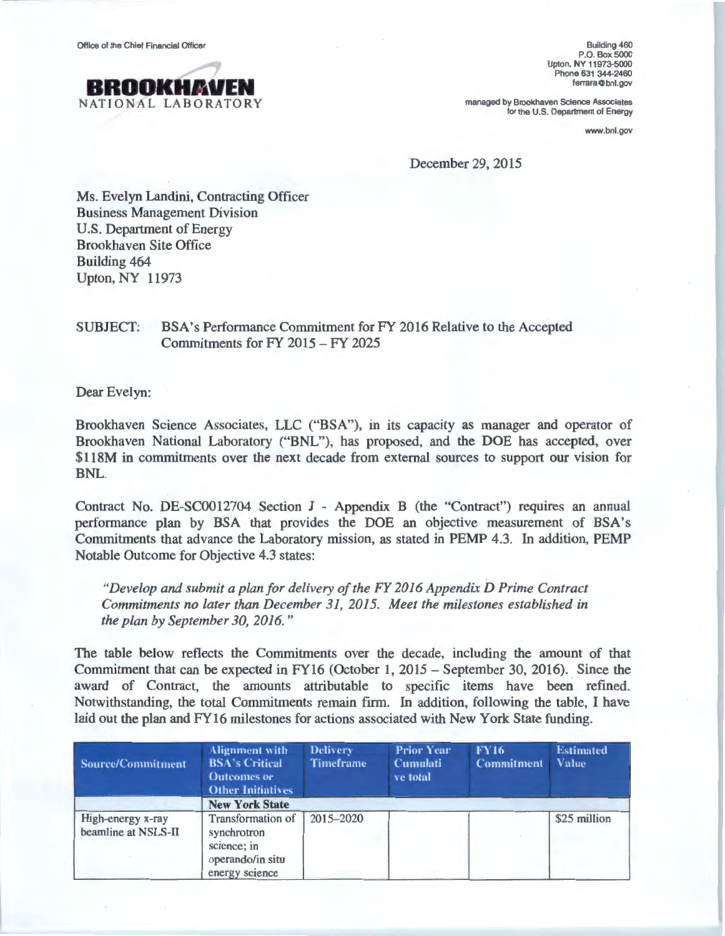

Building 460 P.O. Box 5000 Upton, NY 11973-5000 Phone 631 344-2460 ferrara@bnl.gov

managed by Brookhaven Science Associates for the U.S. Department of Energy

www.bnl.gov

December 29, 2015

Ms. Evelyn Landini, Contracting Officer Business Management Division U.S. Department of Energy Brookhaven Site Office Building 464 Upton, NY 11973

## SUBJECT: BSA's Performance Commitment for FY 2016 Relative to the Accepted Commitments for FY 2015 -FY 2025

Dear Evelyn:

Brookhaven Science Associates, LLC ("BSA"), in its capacity as manager and operator of Brookhaven National Laboratory ("BNL"), has proposed, and the DOE has accepted, over \$118M in commitments over the next decade from external sources to support our vision for BNL.

Contract No. DE-SC0012704 Section J - Appendix B (the "Contract") requires an annual performance plan by BSA that provides the DOE an objective measurement of BSA's Commitments that advance the Laboratory mission, as stated in PEMP 4.3. In addition, PEMP Notable Outcome for Objective 4.3 states:

*"Develop and submit a plan for delivery of the FY 2016 Appendix D Prime Contract Commitments no later than December 31, 2015. Meet the milestones established in the plan by September 30, 2016."* 

The table below reflects the Commitments over the decade, including the amount of that Commitment that can be expected in FY16 (October 1, 2015 - September 30, 2016). Since the award of Contract, the amounts attributable to specific items have been refined. Notwithstanding, the total Commitments remain firm. In addition, following the table, I have laid out the plan and FY16 milestones for actions associated with New York State funding.

| Source/Commitment                        | <b>Alignment with</b><br><b>BSA's Critical</b><br><b>Outcomes or</b><br><b>Other Initiatives</b> | <b>Delivery</b><br><b>Timeframe</b> | <b>Prior Year</b><br><b>Cumulati</b><br>ve total | <b>FY16</b><br><b>Commitment</b> | <b>Estimated</b><br><b>Value</b> |
|------------------------------------------|--------------------------------------------------------------------------------------------------|-------------------------------------|--------------------------------------------------|----------------------------------|----------------------------------|
|                                          | <b>New York State</b>                                                                            |                                     |                                                  |                                  |                                  |
| High-energy x-ray<br>beamline at NSLS-II | Transformation of<br>synchrotron<br>science; in<br>operando/in situ<br>energy science            | 2015-2020                           |                                                  |                                  | \$25 million                     |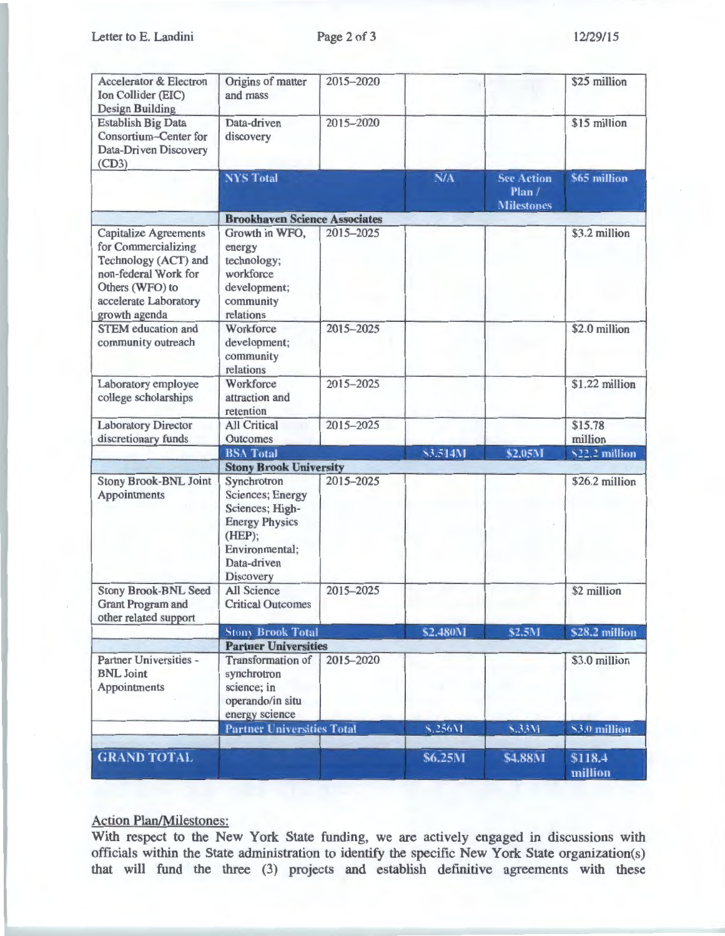Letter to E. Landini

| <b>Accelerator &amp; Electron</b><br>Ion Collider (EIC)<br><b>Design Building</b>                                                                                | Origins of matter<br>and mass                                                                                                               | 2015-2020 |          |                            | \$25 million       |
|------------------------------------------------------------------------------------------------------------------------------------------------------------------|---------------------------------------------------------------------------------------------------------------------------------------------|-----------|----------|----------------------------|--------------------|
| <b>Establish Big Data</b><br><b>Consortium-Center for</b><br>Data-Driven Discovery<br>(CD3)                                                                      | Data-driven<br>discovery                                                                                                                    | 2015-2020 |          |                            | \$15 million       |
|                                                                                                                                                                  | <b>NYS Total</b>                                                                                                                            |           | N/A      | <b>See Action</b><br>Plan/ | \$65 million       |
|                                                                                                                                                                  |                                                                                                                                             |           |          | <b>Milestones</b>          |                    |
|                                                                                                                                                                  | <b>Brookhaven Science Associates</b>                                                                                                        |           |          |                            |                    |
| <b>Capitalize Agreements</b><br>for Commercializing<br>Technology (ACT) and<br>non-federal Work for<br>Others (WFO) to<br>accelerate Laboratory<br>growth agenda | Growth in WFO,<br>energy<br>technology;<br>workforce<br>development;<br>community<br>relations                                              | 2015-2025 |          |                            | \$3.2 million      |
| <b>STEM</b> education and<br>community outreach                                                                                                                  | Workforce<br>development;<br>community<br>relations                                                                                         | 2015-2025 |          |                            | \$2.0 million      |
| Laboratory employee<br>college scholarships                                                                                                                      | Workforce<br>attraction and<br>retention                                                                                                    | 2015-2025 |          |                            | \$1.22 million     |
| <b>Laboratory Director</b><br>discretionary funds                                                                                                                | <b>All Critical</b><br>Outcomes                                                                                                             | 2015-2025 |          |                            | \$15.78<br>million |
|                                                                                                                                                                  | <b>BSA Total</b>                                                                                                                            |           | \$3.514M | \$2.05M                    | \$22.2 million     |
|                                                                                                                                                                  | <b>Stony Brook University</b>                                                                                                               |           |          |                            |                    |
| <b>Stony Brook-BNL Joint</b><br>Appointments                                                                                                                     | Synchrotron<br><b>Sciences</b> ; Energy<br>Sciences; High-<br><b>Energy Physics</b><br>(HEP);<br>Environmental;<br>Data-driven<br>Discovery | 2015-2025 |          |                            | \$26.2 million     |
| <b>Stony Brook-BNL Seed</b><br><b>Grant Program and</b><br>other related support                                                                                 | <b>All Science</b><br><b>Critical Outcomes</b>                                                                                              | 2015-2025 |          |                            | \$2 million        |
|                                                                                                                                                                  | <b>Stony Brook Total</b>                                                                                                                    |           | \$2.480M | \$2.5M                     | \$28.2 million     |
|                                                                                                                                                                  | <b>Partner Universities</b>                                                                                                                 |           |          |                            |                    |
| Partner Universities -<br><b>BNL</b> Joint<br>Appointments                                                                                                       | <b>Transformation of</b><br>synchrotron<br>science; in<br>operando/in situ<br>energy science                                                | 2015-2020 |          |                            | \$3.0 million      |
|                                                                                                                                                                  | <b>Partner Universities Total</b>                                                                                                           |           | \$.256M  | \$,33M                     | \$3.0 million      |
| <b>GRAND TOTAL</b>                                                                                                                                               |                                                                                                                                             |           | \$6.25M  | \$4.88M                    | \$118.4<br>million |

## Action Plan/Milestones:

With respect to the New York State funding, we are actively engaged in discussions with officials within the State administration to identify the specific New York State organization(s) that will fund the three (3) projects and establish definitive agreements with these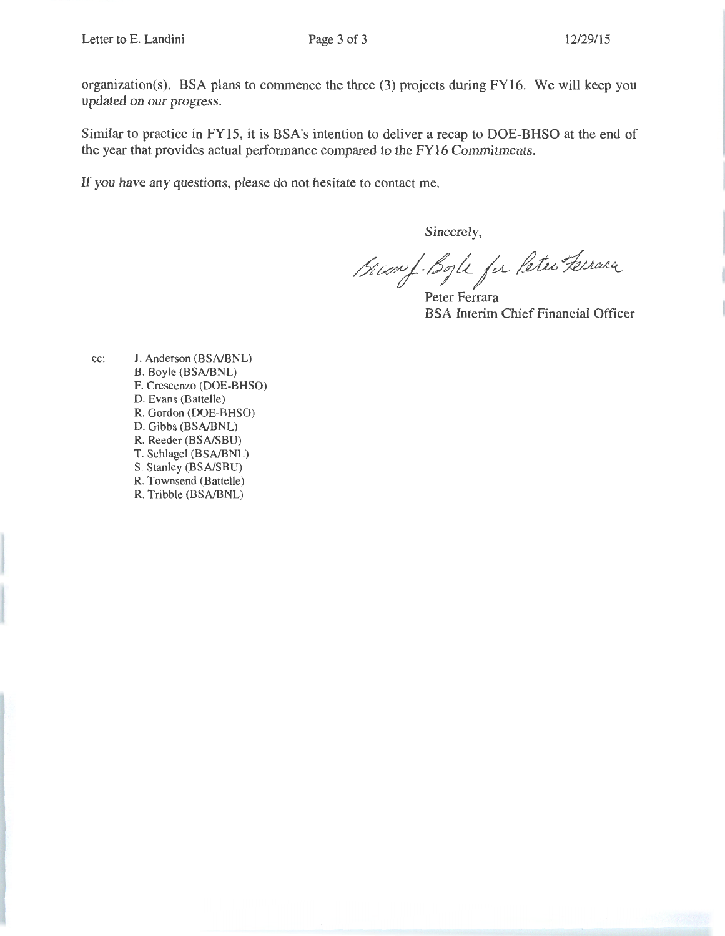organization(s). BSA plans to commence the three (3) projects during FY16. We will keep you updated on our progress.

Similar to practice in FY15, it is BSA's intention to deliver a recap to DOE-BHSO at the end of the year that provides actual performance compared to the FY16 Commitments.

If you have any questions, please do not hesitate to contact me.

Sincerely,

 $\mu$ r.<br>Jer *Peter Ferrara* 

Peter Ferrara BSA Interim Chief Financial Officer

cc: J. Anderson (BSA/BNL) B. Boyle (BSA/BNL) F. Crescenzo (DOE-BHSO) D. Evans (Battelle) R. Gordon (DOE-BHSO) D. Gibbs (BSA/BNL) R. Reeder (BSA/SBU) T. Schlagel (BSA/BNL) S. Stanley (BSA/SBU) R. Townsend (Battelle) R. Tribble (BSA/BNL)